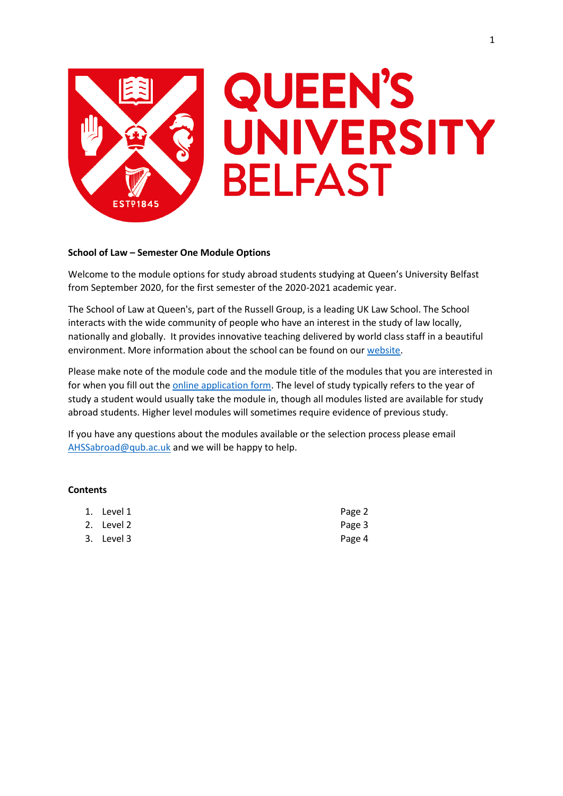

# **QUEEN'S** UNIVERSITY **BELFAST**

## **School of Law – Semester One Module Options**

Welcome to the module options for study abroad students studying at Queen's University Belfast from September 2020, for the first semester of the 2020-2021 academic year.

The School of Law at Queen's, part of the Russell Group, is a leading UK Law School. The School interacts with the wide community of people who have an interest in the study of law locally, nationally and globally. It provides innovative teaching delivered by world class staff in a beautiful environment. More information about the school can be found on our [website.](http://law.qub.ac.uk/)

Please make note of the module code and the module title of the modules that you are interested in for when you fill out the **online application form**. The level of study typically refers to the year of study a student would usually take the module in, though all modules listed are available for study abroad students. Higher level modules will sometimes require evidence of previous study.

If you have any questions about the modules available or the selection process please email [AHSSabroad@qub.ac.uk](mailto:AHSSabroad@qub.ac.uk) and we will be happy to help.

## **Contents**

| 1. Level 1 | Page 2 |
|------------|--------|
| 2. Level 2 | Page 3 |
| 3. Level 3 | Page 4 |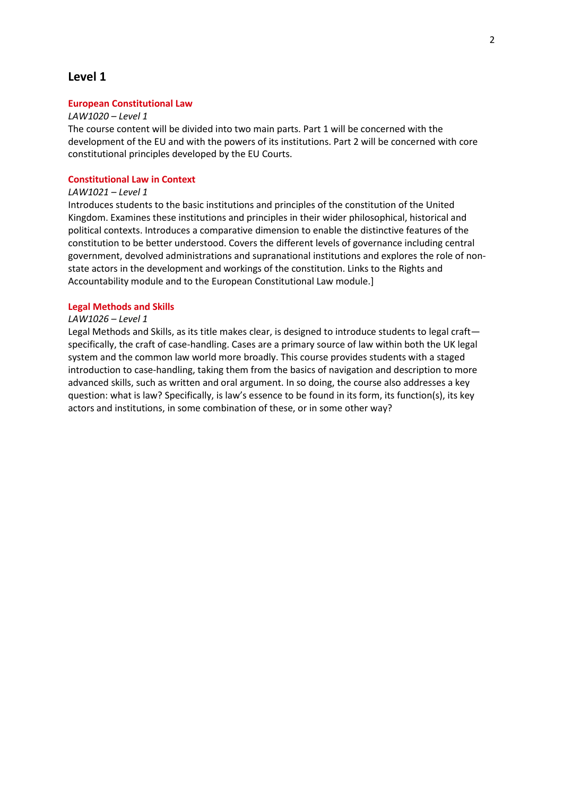# **Level 1**

## **European Constitutional Law**

#### *LAW1020 – Level 1*

The course content will be divided into two main parts. Part 1 will be concerned with the development of the EU and with the powers of its institutions. Part 2 will be concerned with core constitutional principles developed by the EU Courts.

## **Constitutional Law in Context**

# *LAW1021 – Level 1*

Introduces students to the basic institutions and principles of the constitution of the United Kingdom. Examines these institutions and principles in their wider philosophical, historical and political contexts. Introduces a comparative dimension to enable the distinctive features of the constitution to be better understood. Covers the different levels of governance including central government, devolved administrations and supranational institutions and explores the role of nonstate actors in the development and workings of the constitution. Links to the Rights and Accountability module and to the European Constitutional Law module.]

## **Legal Methods and Skills**

#### *LAW1026 – Level 1*

Legal Methods and Skills, as its title makes clear, is designed to introduce students to legal craft specifically, the craft of case-handling. Cases are a primary source of law within both the UK legal system and the common law world more broadly. This course provides students with a staged introduction to case-handling, taking them from the basics of navigation and description to more advanced skills, such as written and oral argument. In so doing, the course also addresses a key question: what is law? Specifically, is law's essence to be found in its form, its function(s), its key actors and institutions, in some combination of these, or in some other way?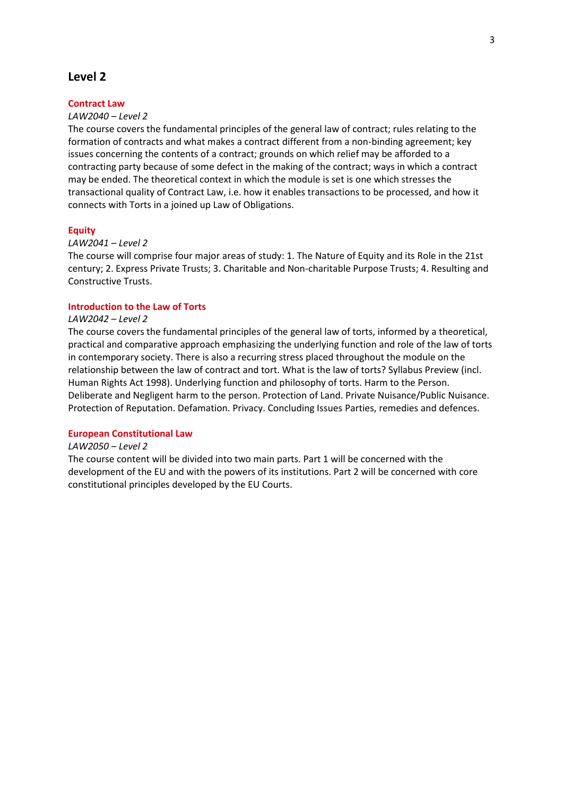# **Level 2**

## **Contract Law**

## *LAW2040 – Level 2*

The course covers the fundamental principles of the general law of contract; rules relating to the formation of contracts and what makes a contract different from a non-binding agreement; key issues concerning the contents of a contract; grounds on which relief may be afforded to a contracting party because of some defect in the making of the contract; ways in which a contract may be ended. The theoretical context in which the module is set is one which stresses the transactional quality of Contract Law, i.e. how it enables transactions to be processed, and how it connects with Torts in a joined up Law of Obligations.

## **Equity**

## *LAW2041 – Level 2*

The course will comprise four major areas of study: 1. The Nature of Equity and its Role in the 21st century; 2. Express Private Trusts; 3. Charitable and Non-charitable Purpose Trusts; 4. Resulting and Constructive Trusts.

## **Introduction to the Law of Torts**

### *LAW2042 – Level 2*

The course covers the fundamental principles of the general law of torts, informed by a theoretical, practical and comparative approach emphasizing the underlying function and role of the law of torts in contemporary society. There is also a recurring stress placed throughout the module on the relationship between the law of contract and tort. What is the law of torts? Syllabus Preview (incl. Human Rights Act 1998). Underlying function and philosophy of torts. Harm to the Person. Deliberate and Negligent harm to the person. Protection of Land. Private Nuisance/Public Nuisance. Protection of Reputation. Defamation. Privacy. Concluding Issues Parties, remedies and defences.

## **European Constitutional Law**

#### *LAW2050 – Level 2*

The course content will be divided into two main parts. Part 1 will be concerned with the development of the EU and with the powers of its institutions. Part 2 will be concerned with core constitutional principles developed by the EU Courts.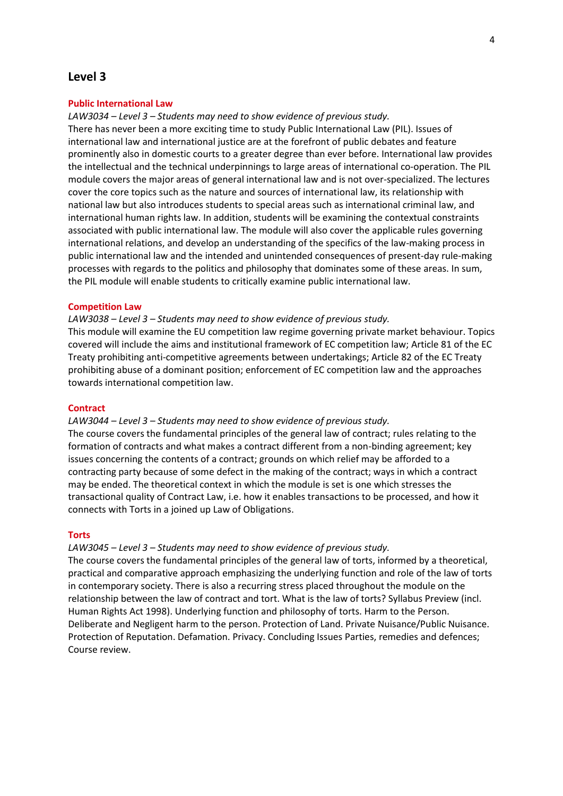## **Level 3**

## **Public International Law**

*LAW3034 – Level 3 – Students may need to show evidence of previous study.*

There has never been a more exciting time to study Public International Law (PIL). Issues of international law and international justice are at the forefront of public debates and feature prominently also in domestic courts to a greater degree than ever before. International law provides the intellectual and the technical underpinnings to large areas of international co-operation. The PIL module covers the major areas of general international law and is not over-specialized. The lectures cover the core topics such as the nature and sources of international law, its relationship with national law but also introduces students to special areas such as international criminal law, and international human rights law. In addition, students will be examining the contextual constraints associated with public international law. The module will also cover the applicable rules governing international relations, and develop an understanding of the specifics of the law-making process in public international law and the intended and unintended consequences of present-day rule-making processes with regards to the politics and philosophy that dominates some of these areas. In sum, the PIL module will enable students to critically examine public international law.

## **Competition Law**

## *LAW3038 – Level 3 – Students may need to show evidence of previous study.*

This module will examine the EU competition law regime governing private market behaviour. Topics covered will include the aims and institutional framework of EC competition law; Article 81 of the EC Treaty prohibiting anti-competitive agreements between undertakings; Article 82 of the EC Treaty prohibiting abuse of a dominant position; enforcement of EC competition law and the approaches towards international competition law.

## **Contract**

## *LAW3044 – Level 3 – Students may need to show evidence of previous study.*

The course covers the fundamental principles of the general law of contract; rules relating to the formation of contracts and what makes a contract different from a non-binding agreement; key issues concerning the contents of a contract; grounds on which relief may be afforded to a contracting party because of some defect in the making of the contract; ways in which a contract may be ended. The theoretical context in which the module is set is one which stresses the transactional quality of Contract Law, i.e. how it enables transactions to be processed, and how it connects with Torts in a joined up Law of Obligations.

#### **Torts**

## *LAW3045 – Level 3 – Students may need to show evidence of previous study.*

The course covers the fundamental principles of the general law of torts, informed by a theoretical, practical and comparative approach emphasizing the underlying function and role of the law of torts in contemporary society. There is also a recurring stress placed throughout the module on the relationship between the law of contract and tort. What is the law of torts? Syllabus Preview (incl. Human Rights Act 1998). Underlying function and philosophy of torts. Harm to the Person. Deliberate and Negligent harm to the person. Protection of Land. Private Nuisance/Public Nuisance. Protection of Reputation. Defamation. Privacy. Concluding Issues Parties, remedies and defences; Course review.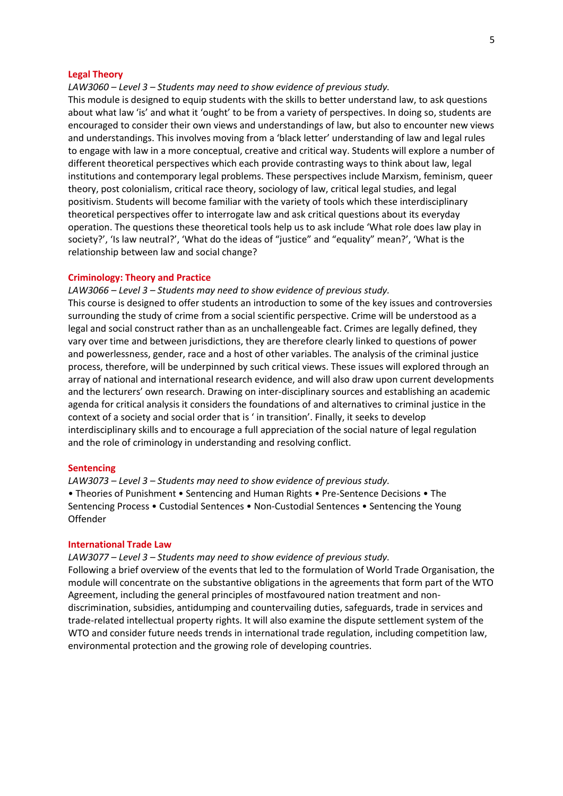#### **Legal Theory**

*LAW3060 – Level 3 – Students may need to show evidence of previous study.*

This module is designed to equip students with the skills to better understand law, to ask questions about what law 'is' and what it 'ought' to be from a variety of perspectives. In doing so, students are encouraged to consider their own views and understandings of law, but also to encounter new views and understandings. This involves moving from a 'black letter' understanding of law and legal rules to engage with law in a more conceptual, creative and critical way. Students will explore a number of different theoretical perspectives which each provide contrasting ways to think about law, legal institutions and contemporary legal problems. These perspectives include Marxism, feminism, queer theory, post colonialism, critical race theory, sociology of law, critical legal studies, and legal positivism. Students will become familiar with the variety of tools which these interdisciplinary theoretical perspectives offer to interrogate law and ask critical questions about its everyday operation. The questions these theoretical tools help us to ask include 'What role does law play in society?', 'Is law neutral?', 'What do the ideas of "justice" and "equality" mean?', 'What is the relationship between law and social change?

#### **Criminology: Theory and Practice**

*LAW3066 – Level 3 – Students may need to show evidence of previous study.*

This course is designed to offer students an introduction to some of the key issues and controversies surrounding the study of crime from a social scientific perspective. Crime will be understood as a legal and social construct rather than as an unchallengeable fact. Crimes are legally defined, they vary over time and between jurisdictions, they are therefore clearly linked to questions of power and powerlessness, gender, race and a host of other variables. The analysis of the criminal justice process, therefore, will be underpinned by such critical views. These issues will explored through an array of national and international research evidence, and will also draw upon current developments and the lecturers' own research. Drawing on inter-disciplinary sources and establishing an academic agenda for critical analysis it considers the foundations of and alternatives to criminal justice in the context of a society and social order that is ' in transition'. Finally, it seeks to develop interdisciplinary skills and to encourage a full appreciation of the social nature of legal regulation and the role of criminology in understanding and resolving conflict.

#### **Sentencing**

*LAW3073 – Level 3 – Students may need to show evidence of previous study.* • Theories of Punishment • Sentencing and Human Rights • Pre-Sentence Decisions • The Sentencing Process • Custodial Sentences • Non-Custodial Sentences • Sentencing the Young Offender

## **International Trade Law**

*LAW3077 – Level 3 – Students may need to show evidence of previous study.*

Following a brief overview of the events that led to the formulation of World Trade Organisation, the module will concentrate on the substantive obligations in the agreements that form part of the WTO Agreement, including the general principles of mostfavoured nation treatment and nondiscrimination, subsidies, antidumping and countervailing duties, safeguards, trade in services and trade-related intellectual property rights. It will also examine the dispute settlement system of the WTO and consider future needs trends in international trade regulation, including competition law, environmental protection and the growing role of developing countries.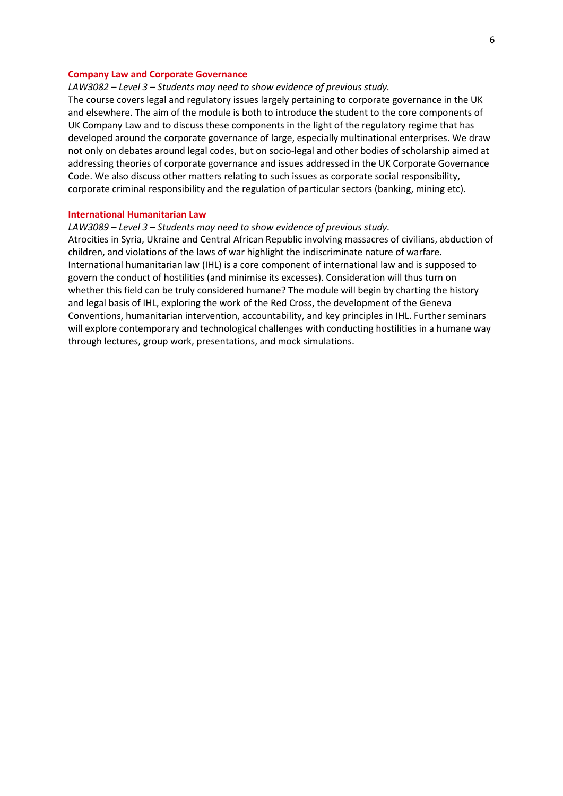#### **Company Law and Corporate Governance**

## *LAW3082 – Level 3 – Students may need to show evidence of previous study.*

The course covers legal and regulatory issues largely pertaining to corporate governance in the UK and elsewhere. The aim of the module is both to introduce the student to the core components of UK Company Law and to discuss these components in the light of the regulatory regime that has developed around the corporate governance of large, especially multinational enterprises. We draw not only on debates around legal codes, but on socio-legal and other bodies of scholarship aimed at addressing theories of corporate governance and issues addressed in the UK Corporate Governance Code. We also discuss other matters relating to such issues as corporate social responsibility, corporate criminal responsibility and the regulation of particular sectors (banking, mining etc).

## **International Humanitarian Law**

## *LAW3089 – Level 3 – Students may need to show evidence of previous study.*

Atrocities in Syria, Ukraine and Central African Republic involving massacres of civilians, abduction of children, and violations of the laws of war highlight the indiscriminate nature of warfare. International humanitarian law (IHL) is a core component of international law and is supposed to govern the conduct of hostilities (and minimise its excesses). Consideration will thus turn on whether this field can be truly considered humane? The module will begin by charting the history and legal basis of IHL, exploring the work of the Red Cross, the development of the Geneva Conventions, humanitarian intervention, accountability, and key principles in IHL. Further seminars will explore contemporary and technological challenges with conducting hostilities in a humane way through lectures, group work, presentations, and mock simulations.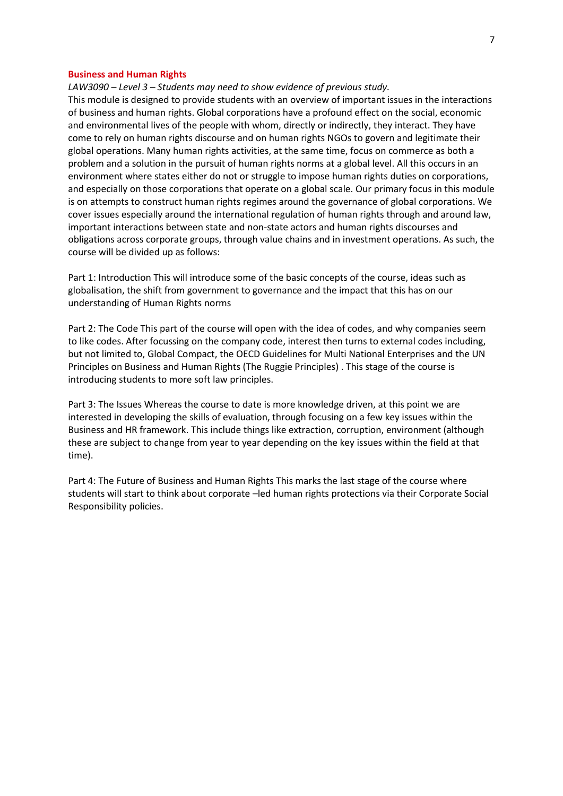#### **Business and Human Rights**

*LAW3090 – Level 3 – Students may need to show evidence of previous study.*

This module is designed to provide students with an overview of important issues in the interactions of business and human rights. Global corporations have a profound effect on the social, economic and environmental lives of the people with whom, directly or indirectly, they interact. They have come to rely on human rights discourse and on human rights NGOs to govern and legitimate their global operations. Many human rights activities, at the same time, focus on commerce as both a problem and a solution in the pursuit of human rights norms at a global level. All this occurs in an environment where states either do not or struggle to impose human rights duties on corporations, and especially on those corporations that operate on a global scale. Our primary focus in this module is on attempts to construct human rights regimes around the governance of global corporations. We cover issues especially around the international regulation of human rights through and around law, important interactions between state and non-state actors and human rights discourses and obligations across corporate groups, through value chains and in investment operations. As such, the course will be divided up as follows:

Part 1: Introduction This will introduce some of the basic concepts of the course, ideas such as globalisation, the shift from government to governance and the impact that this has on our understanding of Human Rights norms

Part 2: The Code This part of the course will open with the idea of codes, and why companies seem to like codes. After focussing on the company code, interest then turns to external codes including, but not limited to, Global Compact, the OECD Guidelines for Multi National Enterprises and the UN Principles on Business and Human Rights (The Ruggie Principles) . This stage of the course is introducing students to more soft law principles.

Part 3: The Issues Whereas the course to date is more knowledge driven, at this point we are interested in developing the skills of evaluation, through focusing on a few key issues within the Business and HR framework. This include things like extraction, corruption, environment (although these are subject to change from year to year depending on the key issues within the field at that time).

Part 4: The Future of Business and Human Rights This marks the last stage of the course where students will start to think about corporate –led human rights protections via their Corporate Social Responsibility policies.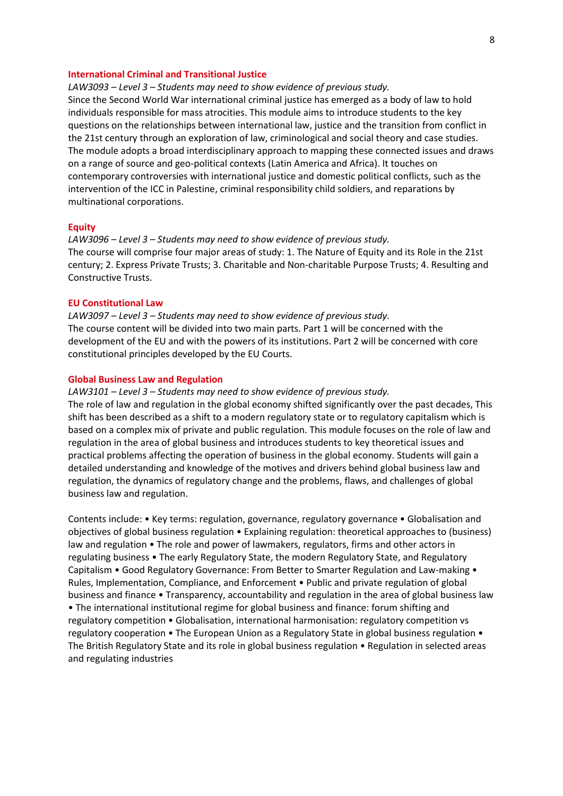## **International Criminal and Transitional Justice**

*LAW3093 – Level 3 – Students may need to show evidence of previous study.* Since the Second World War international criminal justice has emerged as a body of law to hold individuals responsible for mass atrocities. This module aims to introduce students to the key questions on the relationships between international law, justice and the transition from conflict in the 21st century through an exploration of law, criminological and social theory and case studies. The module adopts a broad interdisciplinary approach to mapping these connected issues and draws on a range of source and geo-political contexts (Latin America and Africa). It touches on contemporary controversies with international justice and domestic political conflicts, such as the intervention of the ICC in Palestine, criminal responsibility child soldiers, and reparations by multinational corporations.

### **Equity**

*LAW3096 – Level 3 – Students may need to show evidence of previous study.* The course will comprise four major areas of study: 1. The Nature of Equity and its Role in the 21st century; 2. Express Private Trusts; 3. Charitable and Non-charitable Purpose Trusts; 4. Resulting and Constructive Trusts.

## **EU Constitutional Law**

*LAW3097 – Level 3 – Students may need to show evidence of previous study.* The course content will be divided into two main parts. Part 1 will be concerned with the development of the EU and with the powers of its institutions. Part 2 will be concerned with core constitutional principles developed by the EU Courts.

## **Global Business Law and Regulation**

*LAW3101 – Level 3 – Students may need to show evidence of previous study.* The role of law and regulation in the global economy shifted significantly over the past decades, This shift has been described as a shift to a modern regulatory state or to regulatory capitalism which is based on a complex mix of private and public regulation. This module focuses on the role of law and regulation in the area of global business and introduces students to key theoretical issues and practical problems affecting the operation of business in the global economy. Students will gain a detailed understanding and knowledge of the motives and drivers behind global business law and regulation, the dynamics of regulatory change and the problems, flaws, and challenges of global business law and regulation.

Contents include: • Key terms: regulation, governance, regulatory governance • Globalisation and objectives of global business regulation • Explaining regulation: theoretical approaches to (business) law and regulation • The role and power of lawmakers, regulators, firms and other actors in regulating business • The early Regulatory State, the modern Regulatory State, and Regulatory Capitalism • Good Regulatory Governance: From Better to Smarter Regulation and Law-making • Rules, Implementation, Compliance, and Enforcement • Public and private regulation of global business and finance • Transparency, accountability and regulation in the area of global business law • The international institutional regime for global business and finance: forum shifting and regulatory competition • Globalisation, international harmonisation: regulatory competition vs regulatory cooperation • The European Union as a Regulatory State in global business regulation • The British Regulatory State and its role in global business regulation • Regulation in selected areas and regulating industries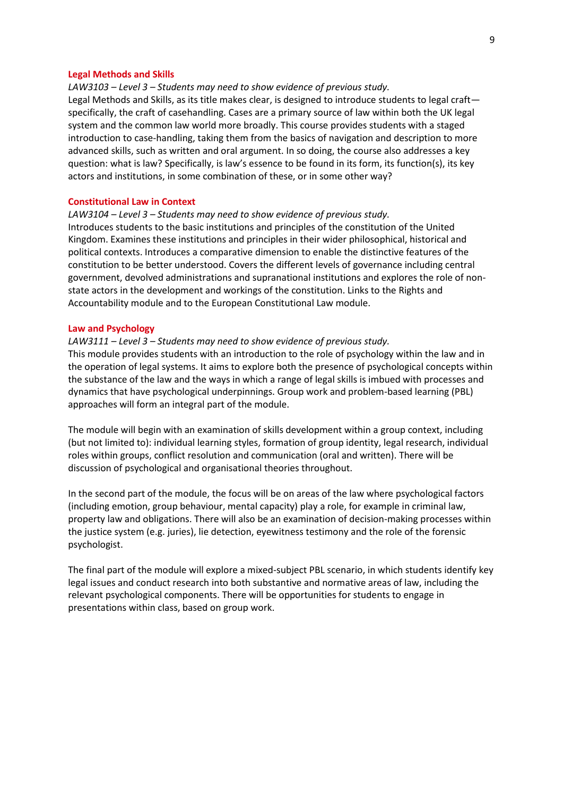#### **Legal Methods and Skills**

### *LAW3103 – Level 3 – Students may need to show evidence of previous study.*

Legal Methods and Skills, as its title makes clear, is designed to introduce students to legal craft specifically, the craft of casehandling. Cases are a primary source of law within both the UK legal system and the common law world more broadly. This course provides students with a staged introduction to case-handling, taking them from the basics of navigation and description to more advanced skills, such as written and oral argument. In so doing, the course also addresses a key question: what is law? Specifically, is law's essence to be found in its form, its function(s), its key actors and institutions, in some combination of these, or in some other way?

## **Constitutional Law in Context**

## *LAW3104 – Level 3 – Students may need to show evidence of previous study.*

Introduces students to the basic institutions and principles of the constitution of the United Kingdom. Examines these institutions and principles in their wider philosophical, historical and political contexts. Introduces a comparative dimension to enable the distinctive features of the constitution to be better understood. Covers the different levels of governance including central government, devolved administrations and supranational institutions and explores the role of nonstate actors in the development and workings of the constitution. Links to the Rights and Accountability module and to the European Constitutional Law module.

#### **Law and Psychology**

## *LAW3111 – Level 3 – Students may need to show evidence of previous study.*

This module provides students with an introduction to the role of psychology within the law and in the operation of legal systems. It aims to explore both the presence of psychological concepts within the substance of the law and the ways in which a range of legal skills is imbued with processes and dynamics that have psychological underpinnings. Group work and problem-based learning (PBL) approaches will form an integral part of the module.

The module will begin with an examination of skills development within a group context, including (but not limited to): individual learning styles, formation of group identity, legal research, individual roles within groups, conflict resolution and communication (oral and written). There will be discussion of psychological and organisational theories throughout.

In the second part of the module, the focus will be on areas of the law where psychological factors (including emotion, group behaviour, mental capacity) play a role, for example in criminal law, property law and obligations. There will also be an examination of decision-making processes within the justice system (e.g. juries), lie detection, eyewitness testimony and the role of the forensic psychologist.

The final part of the module will explore a mixed-subject PBL scenario, in which students identify key legal issues and conduct research into both substantive and normative areas of law, including the relevant psychological components. There will be opportunities for students to engage in presentations within class, based on group work.